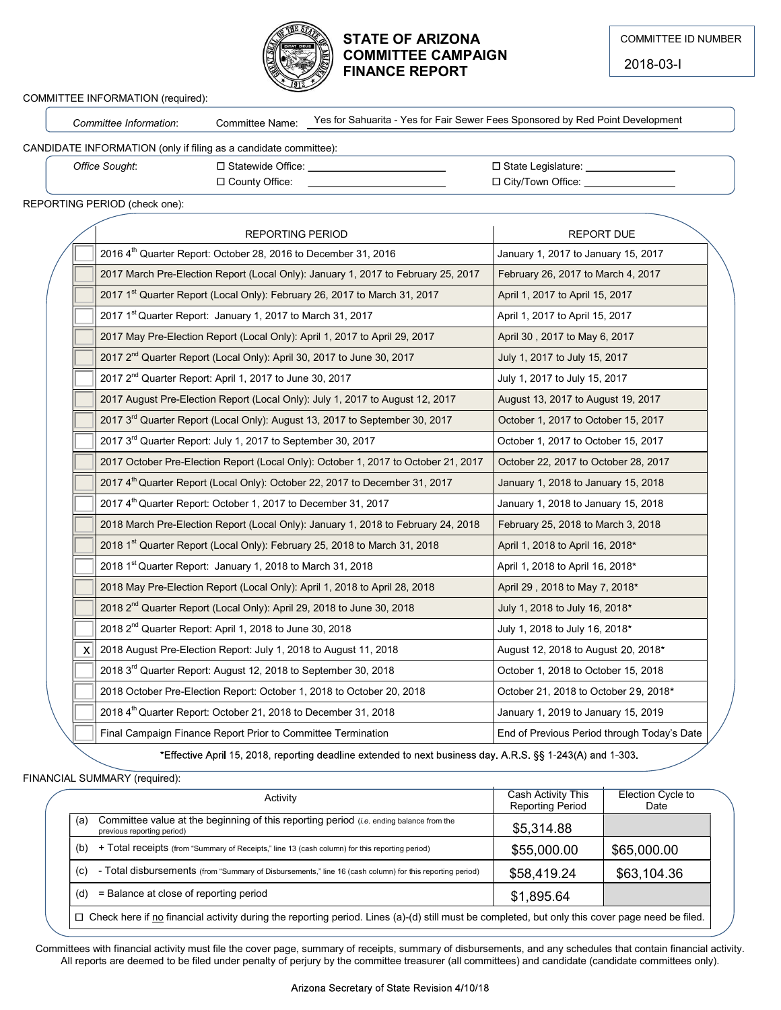

### STATE OF ARIZONA COMMITTEE CAMPAIGN FINANCE REPORT

#### COMMITTEE INFORMATION (required):

#### CANDIDATE INFORMATION (only if filing as a candidate committee):

|                                                                  |                 | <b>STATE OF ARIZONA</b>                                                                 | <b>COMMITTEE ID NUMBE</b> |
|------------------------------------------------------------------|-----------------|-----------------------------------------------------------------------------------------|---------------------------|
|                                                                  |                 | <b>COMMITTEE CAMPAIGN</b><br><b>FINANCE REPORT</b>                                      | 2018-03-l                 |
| COMMITTEE INFORMATION (required):                                |                 |                                                                                         |                           |
| Committee Information:                                           | Committee Name: | Yes for Sahuarita - Yes for Fair Sewer Fees Sponsored by Red Point Development          |                           |
| CANDIDATE INFORMATION (only if filing as a candidate committee): |                 |                                                                                         |                           |
| Office Sought:                                                   |                 | □ State Legislature: _________________                                                  |                           |
|                                                                  |                 | □ City/Town Office: ________________<br>□ County Office: <u>_______________________</u> |                           |
| REPORTING PERIOD (check one);                                    |                 |                                                                                         |                           |

REPORTING PERIOD (check one):

|     | <b>STATE OF ARIZONA</b><br><b>COMMITTEE CAMPAIGN</b><br><b>FINANCE REPORT</b>                                                                                                                                                                                                                                 |                                                                | <b>COMMITTEE ID NUMBER</b><br>2018-03-I |
|-----|---------------------------------------------------------------------------------------------------------------------------------------------------------------------------------------------------------------------------------------------------------------------------------------------------------------|----------------------------------------------------------------|-----------------------------------------|
|     | EE INFORMATION (required):                                                                                                                                                                                                                                                                                    |                                                                |                                         |
|     | Yes for Sahuarita - Yes for Fair Sewer Fees Sponsored by Red Point Development<br>Committee Name:<br>Committee Information:                                                                                                                                                                                   |                                                                |                                         |
|     | TE INFORMATION (only if filing as a candidate committee):                                                                                                                                                                                                                                                     |                                                                |                                         |
|     | Office Sought:<br>□ County Office:                                                                                                                                                                                                                                                                            | □ State Legislature:<br>□ City/Town Office:                    |                                         |
|     | NG PERIOD (check one):                                                                                                                                                                                                                                                                                        |                                                                |                                         |
|     |                                                                                                                                                                                                                                                                                                               |                                                                |                                         |
|     | <b>REPORTING PERIOD</b>                                                                                                                                                                                                                                                                                       | <b>REPORT DUE</b>                                              |                                         |
|     | 2016 4 <sup>th</sup> Quarter Report: October 28, 2016 to December 31, 2016                                                                                                                                                                                                                                    | January 1, 2017 to January 15, 2017                            |                                         |
|     | 2017 March Pre-Election Report (Local Only): January 1, 2017 to February 25, 2017                                                                                                                                                                                                                             | February 26, 2017 to March 4, 2017                             |                                         |
|     | 2017 1 <sup>st</sup> Quarter Report (Local Only): February 26, 2017 to March 31, 2017                                                                                                                                                                                                                         | April 1, 2017 to April 15, 2017                                |                                         |
|     | 2017 1 <sup>st</sup> Quarter Report: January 1, 2017 to March 31, 2017                                                                                                                                                                                                                                        | April 1, 2017 to April 15, 2017                                |                                         |
|     | 2017 May Pre-Election Report (Local Only): April 1, 2017 to April 29, 2017<br>2017 2 <sup>nd</sup> Quarter Report (Local Only): April 30, 2017 to June 30, 2017                                                                                                                                               | April 30, 2017 to May 6, 2017<br>July 1, 2017 to July 15, 2017 |                                         |
|     | 2017 2 <sup>nd</sup> Quarter Report: April 1, 2017 to June 30, 2017                                                                                                                                                                                                                                           | July 1, 2017 to July 15, 2017                                  |                                         |
|     | 2017 August Pre-Election Report (Local Only): July 1, 2017 to August 12, 2017                                                                                                                                                                                                                                 | August 13, 2017 to August 19, 2017                             |                                         |
|     | 2017 3rd Quarter Report (Local Only): August 13, 2017 to September 30, 2017                                                                                                                                                                                                                                   | October 1, 2017 to October 15, 2017                            |                                         |
|     | 2017 3rd Quarter Report: July 1, 2017 to September 30, 2017                                                                                                                                                                                                                                                   | October 1, 2017 to October 15, 2017                            |                                         |
|     | 2017 October Pre-Election Report (Local Only): October 1, 2017 to October 21, 2017                                                                                                                                                                                                                            | October 22, 2017 to October 28, 2017                           |                                         |
|     | 2017 4 <sup>th</sup> Quarter Report (Local Only): October 22, 2017 to December 31, 2017                                                                                                                                                                                                                       | January 1, 2018 to January 15, 2018                            |                                         |
|     | 2017 4th Quarter Report: October 1, 2017 to December 31, 2017                                                                                                                                                                                                                                                 | January 1, 2018 to January 15, 2018                            |                                         |
|     | 2018 March Pre-Election Report (Local Only): January 1, 2018 to February 24, 2018                                                                                                                                                                                                                             | February 25, 2018 to March 3, 2018                             |                                         |
|     | 2018 1st Quarter Report (Local Only): February 25, 2018 to March 31, 2018                                                                                                                                                                                                                                     | April 1, 2018 to April 16, 2018*                               |                                         |
|     | 2018 1st Quarter Report: January 1, 2018 to March 31, 2018                                                                                                                                                                                                                                                    | April 1, 2018 to April 16, 2018*                               |                                         |
|     | 2018 May Pre-Election Report (Local Only): April 1, 2018 to April 28, 2018                                                                                                                                                                                                                                    | April 29, 2018 to May 7, 2018*                                 |                                         |
|     | 2018 2 <sup>nd</sup> Quarter Report (Local Only): April 29, 2018 to June 30, 2018                                                                                                                                                                                                                             | July 1, 2018 to July 16, 2018*                                 |                                         |
|     | 2018 2 <sup>nd</sup> Quarter Report: April 1, 2018 to June 30, 2018                                                                                                                                                                                                                                           | July 1, 2018 to July 16, 2018*                                 |                                         |
| X   | 2018 August Pre-Election Report: July 1, 2018 to August 11, 2018                                                                                                                                                                                                                                              | August 12, 2018 to August 20, 2018*                            |                                         |
|     | 2018 3 <sup>rd</sup> Quarter Report: August 12, 2018 to September 30, 2018                                                                                                                                                                                                                                    | October 1, 2018 to October 15, 2018                            |                                         |
|     | 2018 October Pre-Election Report: October 1, 2018 to October 20, 2018                                                                                                                                                                                                                                         | October 21, 2018 to October 29, 2018*                          |                                         |
|     | 2018 4th Quarter Report: October 21, 2018 to December 31, 2018                                                                                                                                                                                                                                                | January 1, 2019 to January 15, 2019                            |                                         |
|     | Final Campaign Finance Report Prior to Committee Termination                                                                                                                                                                                                                                                  | End of Previous Period through Today's Date                    |                                         |
|     | *Effective April 15, 2018, reporting deadline extended to next business day. A.R.S. §§ 1-243(A) and 1-303.                                                                                                                                                                                                    |                                                                |                                         |
|     | L SUMMARY (required):                                                                                                                                                                                                                                                                                         |                                                                |                                         |
|     | Activity                                                                                                                                                                                                                                                                                                      | <b>Cash Activity This</b><br><b>Reporting Period</b>           | <b>Election Cycle to</b><br>Date        |
| (a) | Committee value at the beginning of this reporting period (i.e. ending balance from the<br>previous reporting period)                                                                                                                                                                                         | \$5,314.88                                                     |                                         |
| (b) | + Total receipts (from "Summary of Receipts," line 13 (cash column) for this reporting period)                                                                                                                                                                                                                | \$55,000.00                                                    | \$65,000.00                             |
| (c) | - Total disbursements (from "Summary of Disbursements," line 16 (cash column) for this reporting period)                                                                                                                                                                                                      | \$58,419.24                                                    | \$63,104.36                             |
|     | (d) = Balance at close of reporting period                                                                                                                                                                                                                                                                    | \$1,895.64                                                     |                                         |
|     | □ Check here if no financial activity during the reporting period. Lines (a)-(d) still must be completed, but only this cover page need be filed.                                                                                                                                                             |                                                                |                                         |
|     |                                                                                                                                                                                                                                                                                                               |                                                                |                                         |
|     | ttees with financial activity must file the cover page, summary of receipts, summary of disbursements, and any schedules that contain financial activity.<br>I reports are deemed to be filed under penalty of perjury by the committee treasurer (all committees) and candidate (candidate committees only). |                                                                |                                         |
|     |                                                                                                                                                                                                                                                                                                               |                                                                |                                         |
|     | Arizona Secretary of State Revision 4/10/18                                                                                                                                                                                                                                                                   |                                                                |                                         |

FINANCIAL SUMMARY (required):

| Activity                                                                                                                                               | Cash Activity This<br><b>Reporting Period</b> | Election Cycle to<br>Date |
|--------------------------------------------------------------------------------------------------------------------------------------------------------|-----------------------------------------------|---------------------------|
| Committee value at the beginning of this reporting period ( <i>i.e.</i> ending balance from the<br>(a)<br>previous reporting period)                   | \$5,314.88                                    |                           |
| + Total receipts (from "Summary of Receipts," line 13 (cash column) for this reporting period)<br>(b)                                                  | \$55,000.00                                   | \$65,000.00               |
| - Total disbursements (from "Summary of Disbursements," line 16 (cash column) for this reporting period)<br>(c)                                        | \$58,419.24                                   | \$63,104.36               |
| = Balance at close of reporting period<br>(d)                                                                                                          | \$1,895.64                                    |                           |
| $\Box$ Check here if no financial activity during the reporting period. Lines (a)-(d) still must be completed, but only this cover page need be filed. |                                               |                           |

Committees with financial activity must file the cover page, summary of receipts, summary of disbursements, and any schedules that contain financial activity. All reports are deemed to be filed under penalty of perjury by the committee treasurer (all committees) and candidate (candidate committees only).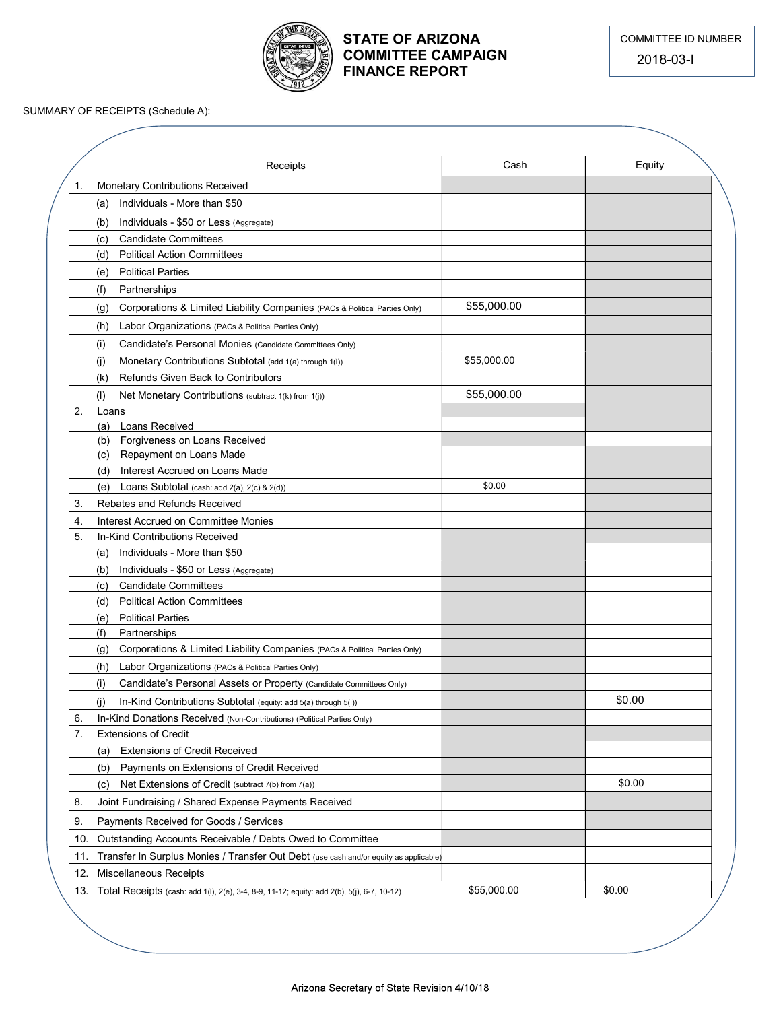

## STATE OF ARIZONA COMMITTEE CAMPAIGN FINANCE REPORT

|          | SUMMARY OF RECEIPTS (Schedule A):                                                                                            | <b>FINANCE REPORT</b> | 2018-03-l |
|----------|------------------------------------------------------------------------------------------------------------------------------|-----------------------|-----------|
|          |                                                                                                                              |                       |           |
|          | Receipts                                                                                                                     | Cash                  | Equity    |
| 1.       | Monetary Contributions Received                                                                                              |                       |           |
|          | (a) Individuals - More than \$50                                                                                             |                       |           |
|          | Individuals - \$50 or Less (Aggregate)<br>(b)                                                                                |                       |           |
|          | <b>Candidate Committees</b><br>(c)<br>(d) Political Action Committees                                                        |                       |           |
|          | <b>Political Parties</b><br>(e)                                                                                              |                       |           |
|          | (f)<br>Partnerships                                                                                                          |                       |           |
|          | Corporations & Limited Liability Companies (PACs & Political Parties Only)<br>(g)                                            | \$55,000.00           |           |
|          | (h) Labor Organizations (PACs & Political Parties Only)                                                                      |                       |           |
|          | Candidate's Personal Monies (Candidate Committees Only)<br>(i)                                                               |                       |           |
|          | Monetary Contributions Subtotal (add 1(a) through 1(i))<br>(j)                                                               | \$55,000.00           |           |
|          | Refunds Given Back to Contributors<br>(k)                                                                                    |                       |           |
|          | (I) Net Monetary Contributions (subtract 1(k) from 1(j))                                                                     | \$55,000.00           |           |
| 2.       | Loans<br>(a) Loans Received                                                                                                  |                       |           |
|          | Forgiveness on Loans Received<br>(b)                                                                                         |                       |           |
|          | Repayment on Loans Made<br>(c)                                                                                               |                       |           |
|          | (d) Interest Accrued on Loans Made                                                                                           |                       |           |
|          | (e) Loans Subtotal (cash: add $2(a)$ , $2(c)$ & $2(d)$ )                                                                     | \$0.00                |           |
| 3.       | Rebates and Refunds Received                                                                                                 |                       |           |
| 4.<br>5. | Interest Accrued on Committee Monies<br>In-Kind Contributions Received                                                       |                       |           |
|          | (a) Individuals - More than \$50                                                                                             |                       |           |
|          | (b) Individuals - \$50 or Less (Aggregate)                                                                                   |                       |           |
|          | (c) Candidate Committees                                                                                                     |                       |           |
|          | (d) Political Action Committees                                                                                              |                       |           |
|          | (e) Political Parties<br>(f)                                                                                                 |                       |           |
|          | Partnerships<br>(g) Corporations & Limited Liability Companies (PACs & Political Parties Only)                               |                       |           |
|          | (h) Labor Organizations (PACs & Political Parties Only)                                                                      |                       |           |
|          | Candidate's Personal Assets or Property (Candidate Committees Only)<br>(i)                                                   |                       |           |
|          | In-Kind Contributions Subtotal (equity: add 5(a) through 5(i))<br>(j)                                                        |                       | \$0.00    |
| 6.       | In-Kind Donations Received (Non-Contributions) (Political Parties Only)                                                      |                       |           |
| 7.       | <b>Extensions of Credit</b>                                                                                                  |                       |           |
|          | (a) Extensions of Credit Received                                                                                            |                       |           |
|          | (b) Payments on Extensions of Credit Received                                                                                |                       |           |
|          | (c) Net Extensions of Credit (subtract 7(b) from 7(a))                                                                       |                       | \$0.00    |
| 8.       | Joint Fundraising / Shared Expense Payments Received                                                                         |                       |           |
| 9.       | Payments Received for Goods / Services                                                                                       |                       |           |
|          | 10. Outstanding Accounts Receivable / Debts Owed to Committee                                                                |                       |           |
| 11.      | Transfer In Surplus Monies / Transfer Out Debt (use cash and/or equity as applicable)                                        |                       |           |
|          | 12. Miscellaneous Receipts<br>13. Total Receipts (cash: add 1(I), 2(e), 3-4, 8-9, 11-12; equity: add 2(b), 5(j), 6-7, 10-12) | \$55,000.00           |           |
|          |                                                                                                                              |                       | \$0.00    |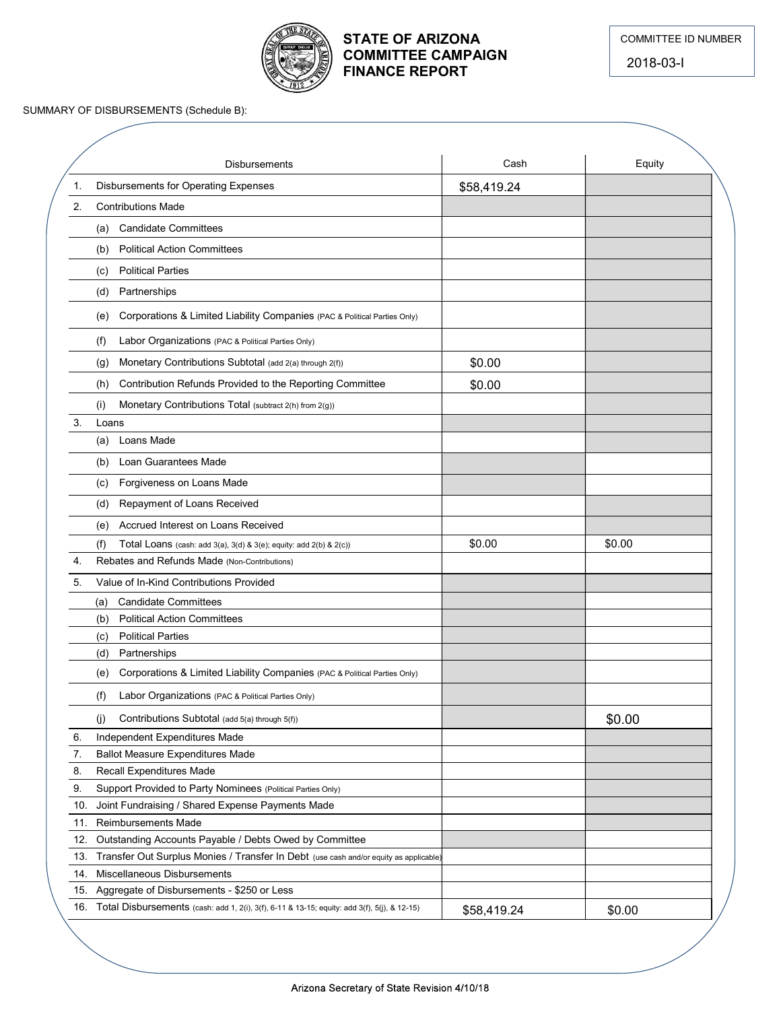

## STATE OF ARIZONA COMMITTEE CAMPAIGN FINANCE REPORT

|     | <b>FINANCE REPORT</b>                                                                            | <b>COMMITTEE CAMPAIGN</b> | <b>COMMITTEE ID NUMBER</b><br>2018-03-I |
|-----|--------------------------------------------------------------------------------------------------|---------------------------|-----------------------------------------|
|     | SUMMARY OF DISBURSEMENTS (Schedule B):                                                           |                           |                                         |
|     |                                                                                                  |                           |                                         |
|     | <b>Disbursements</b>                                                                             | Cash                      | Equity                                  |
| 1.  | <b>Disbursements for Operating Expenses</b>                                                      | \$58,419.24               |                                         |
| 2.  | <b>Contributions Made</b>                                                                        |                           |                                         |
|     | (a) Candidate Committees                                                                         |                           |                                         |
|     | <b>Political Action Committees</b><br>(b)                                                        |                           |                                         |
|     | <b>Political Parties</b><br>(c)                                                                  |                           |                                         |
|     | (d) Partnerships                                                                                 |                           |                                         |
|     | Corporations & Limited Liability Companies (PAC & Political Parties Only)<br>(e)                 |                           |                                         |
|     | Labor Organizations (PAC & Political Parties Only)<br>(f)                                        |                           |                                         |
|     | Monetary Contributions Subtotal (add 2(a) through 2(f))<br>(g)                                   | \$0.00                    |                                         |
|     | Contribution Refunds Provided to the Reporting Committee<br>(h)                                  | \$0.00                    |                                         |
|     | Monetary Contributions Total (subtract 2(h) from 2(g))<br>(i)                                    |                           |                                         |
| 3.  | Loans                                                                                            |                           |                                         |
|     | (a) Loans Made                                                                                   |                           |                                         |
|     | (b) Loan Guarantees Made<br>(c) Forgiveness on Loans Made                                        |                           |                                         |
|     | Repayment of Loans Received<br>(d)                                                               |                           |                                         |
|     | Accrued Interest on Loans Received                                                               |                           |                                         |
|     | (e)<br>(f)<br>Total Loans (cash: add 3(a), 3(d) & 3(e); equity: add 2(b) & 2(c))                 | \$0.00                    | \$0.00                                  |
| 4.  | Rebates and Refunds Made (Non-Contributions)                                                     |                           |                                         |
| 5.  | Value of In-Kind Contributions Provided                                                          |                           |                                         |
|     | <b>Candidate Committees</b><br>(a)                                                               |                           |                                         |
|     | <b>Political Action Committees</b><br>(b)                                                        |                           |                                         |
|     | <b>Political Parties</b><br>(c)<br>(d) Partnerships                                              |                           |                                         |
|     | Corporations & Limited Liability Companies (PAC & Political Parties Only)<br>(e)                 |                           |                                         |
|     | Labor Organizations (PAC & Political Parties Only)<br>(f)                                        |                           |                                         |
|     |                                                                                                  |                           |                                         |
| 6.  | Contributions Subtotal (add 5(a) through 5(f))<br>(j)<br>Independent Expenditures Made           |                           | \$0.00                                  |
| 7.  | <b>Ballot Measure Expenditures Made</b>                                                          |                           |                                         |
| 8.  | Recall Expenditures Made                                                                         |                           |                                         |
| 9.  | Support Provided to Party Nominees (Political Parties Only)                                      |                           |                                         |
| 10. | Joint Fundraising / Shared Expense Payments Made<br>11. Reimbursements Made                      |                           |                                         |
|     | 12. Outstanding Accounts Payable / Debts Owed by Committee                                       |                           |                                         |
|     | 13. Transfer Out Surplus Monies / Transfer In Debt (use cash and/or equity as applicable)        |                           |                                         |
|     | 14. Miscellaneous Disbursements                                                                  |                           |                                         |
|     | 15. Aggregate of Disbursements - \$250 or Less                                                   |                           |                                         |
|     | 16. Total Disbursements (cash: add 1, 2(i), 3(f), 6-11 & 13-15; equity: add 3(f), 5(j), & 12-15) | \$58,419.24               | \$0.00                                  |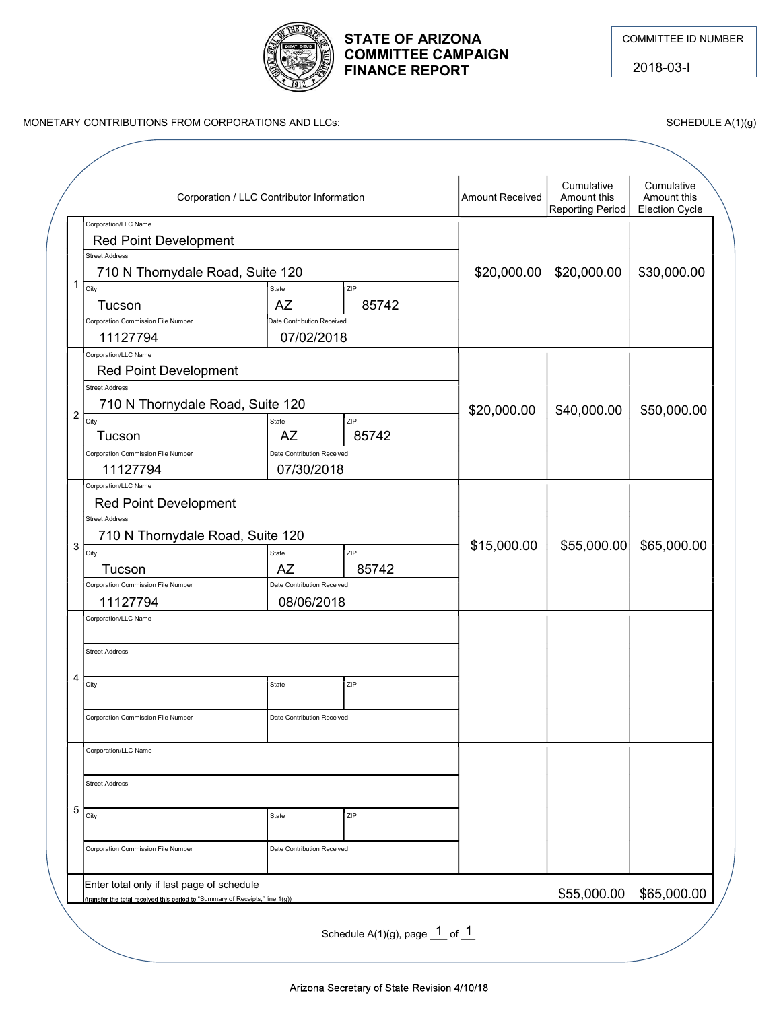

#### STATE OF ARIZONA **COMMITTEE ID NUMBER** COMMITTEE CAMPAIGN FINANCE REPORT

|                                                                                                              |                                           | <b>FINANCE REPORT</b> | <b>STATE OF ARIZONA</b><br><b>COMMITTEE CAMPAIGN</b> |                           | <b>COMMITTEE ID NUMBER</b><br>2018-03-l |
|--------------------------------------------------------------------------------------------------------------|-------------------------------------------|-----------------------|------------------------------------------------------|---------------------------|-----------------------------------------|
| MONETARY CONTRIBUTIONS FROM CORPORATIONS AND LLCs:                                                           |                                           |                       |                                                      |                           | SCHEDULE A(1)(g)                        |
|                                                                                                              | Corporation / LLC Contributor Information |                       | Amount Received                                      | Cumulative<br>Amount this | Cumulative<br>Amount this               |
| Corporation/LLC Name<br><b>Red Point Development</b>                                                         |                                           |                       |                                                      | <b>Reporting Period</b>   | <b>Election Cycle</b>                   |
| <b>Street Address</b><br>710 N Thornydale Road, Suite 120                                                    |                                           |                       | \$20,000.00                                          | \$20,000.00               | \$30,000.00                             |
| $1\overline{C}$<br>Tucson                                                                                    | State<br><b>AZ</b>                        | ZIP<br>85742          |                                                      |                           |                                         |
| Corporation Commission File Number<br>11127794                                                               | Date Contribution Received<br>07/02/2018  |                       |                                                      |                           |                                         |
| Corporation/LLC Name<br>Red Point Development<br><b>Street Address</b>                                       |                                           |                       |                                                      |                           |                                         |
| 710 N Thornydale Road, Suite 120<br>$12$ $\overline{C_{\text{ity}}}$                                         | State                                     | ZIP                   | \$20,000.00                                          | \$40,000.00               | \$50,000.00                             |
| Tucson<br>Corporation Commission File Number                                                                 | <b>AZ</b><br>Date Contribution Received   | 85742                 |                                                      |                           |                                         |
| 11127794<br>Corporation/LLC Name                                                                             | 07/30/2018                                |                       |                                                      |                           |                                         |
| <b>Red Point Development</b><br><b>Street Address</b>                                                        |                                           |                       |                                                      |                           |                                         |
| 710 N Thornydale Road, Suite 120<br>$\begin{array}{ c c }\n\hline\n1 & 3 & \text{City}\n\hline\n\end{array}$ | State                                     | <b>ZIP</b>            | \$15,000.00                                          |                           | $$55,000.00$ \$65,000.00                |
| Tucson<br>Corporation Commission File Number                                                                 | AZ<br>Date Contribution Received          | 85742                 |                                                      |                           |                                         |
| 11127794                                                                                                     | 08/06/2018                                |                       |                                                      |                           |                                         |
| Corporation/LLC Name                                                                                         |                                           |                       |                                                      |                           |                                         |
| <b>Street Address</b><br>4                                                                                   |                                           |                       |                                                      |                           |                                         |
| City                                                                                                         | State                                     | ZIP                   |                                                      |                           |                                         |
| Corporation Commission File Number                                                                           | Date Contribution Received                |                       |                                                      |                           |                                         |
| Corporation/LLC Name                                                                                         |                                           |                       |                                                      |                           |                                         |
| <b>Street Address</b>                                                                                        |                                           |                       |                                                      |                           |                                         |
| - 5  <br>City                                                                                                | State                                     | ZIP                   |                                                      |                           |                                         |
| Corporation Commission File Number                                                                           | Date Contribution Received                |                       |                                                      |                           |                                         |
| Enter total only if last page of schedule                                                                    |                                           |                       |                                                      |                           |                                         |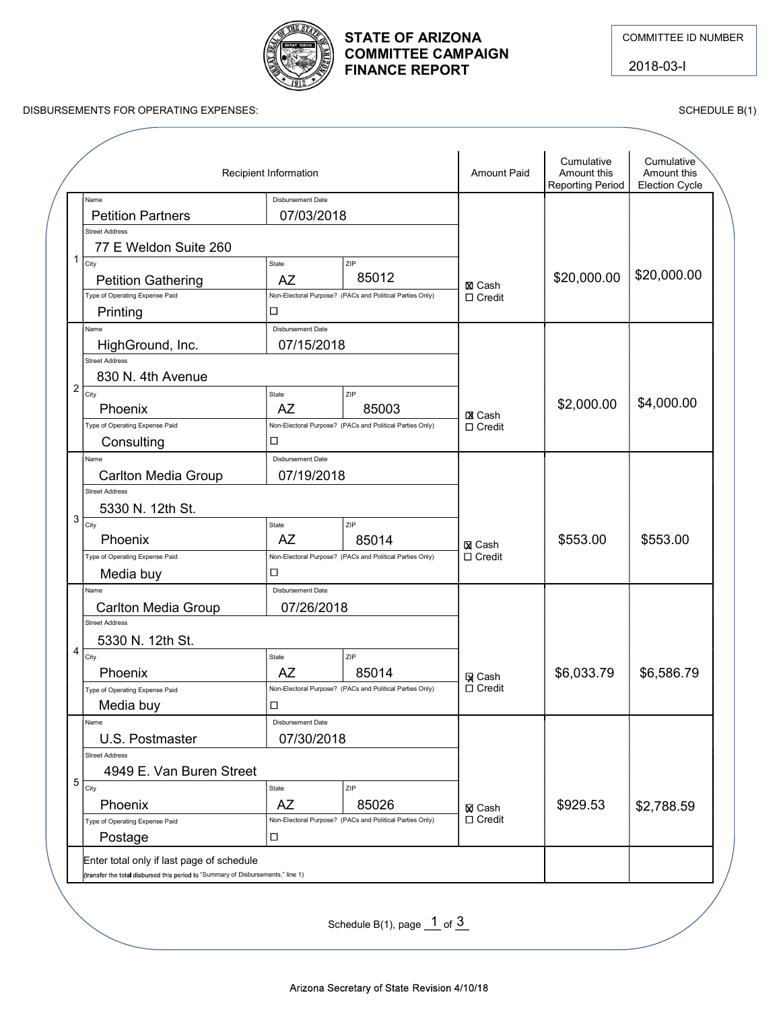

# COMMITTEE CAMPAIGN FINANCE REPORT

|                                                                                                                                                                   |                                                         | <b>STATE OF ARIZONA</b><br><b>COMMITTEE CAMPAIGN</b><br><b>FINANCE REPORT</b>   |                                |                                                      | <b>COMMITTEE ID NUMBER</b><br>2018-03-I     |  |
|-------------------------------------------------------------------------------------------------------------------------------------------------------------------|---------------------------------------------------------|---------------------------------------------------------------------------------|--------------------------------|------------------------------------------------------|---------------------------------------------|--|
| DISBURSEMENTS FOR OPERATING EXPENSES:                                                                                                                             |                                                         |                                                                                 |                                |                                                      | SCHEDULE B(1)                               |  |
|                                                                                                                                                                   | Recipient Information                                   |                                                                                 | <b>Amount Paid</b>             | Cumulative<br>Amount this<br><b>Reporting Period</b> | Cumulative<br>Amount this<br>Election Cycle |  |
| Name<br><b>Petition Partners</b><br>Street Address<br>77 E Weldon Suite 260                                                                                       | Disbursement Date<br>07/03/2018                         |                                                                                 |                                |                                                      |                                             |  |
| $1 \overline{\phantom{a}}$<br><b>Petition Gathering</b><br>Type of Operating Expense Paid<br>Printing                                                             | State<br>AZ<br>$\Box$                                   | <b>ZIP</b><br>85012<br>Non-Electoral Purpose? (PACs and Political Parties Only) | <b>X</b> Cash<br>□ Credit      | \$20,000.00                                          | \$20,000.00                                 |  |
| Name<br>HighGround, Inc.<br>Street Address<br>830 N. 4th Avenue                                                                                                   | Disbursement Date<br>07/15/2018                         |                                                                                 |                                |                                                      |                                             |  |
| $\left  \right  2 \left  \right $ City<br>Phoenix<br>Type of Operating Expense Paid                                                                               | State<br><b>AZ</b>                                      | ZIP<br>85003<br>Non-Electoral Purpose? (PACs and Political Parties Only)        | <b>X</b> Cash<br>$\Box$ Credit | \$2,000.00                                           | \$4,000.00                                  |  |
| Name<br>Carlton Media Group<br>Street Address                                                                                                                     | $\Box$<br>Consulting<br>Disbursement Date<br>07/19/2018 |                                                                                 |                                |                                                      |                                             |  |
| 5330 N. 12th St.<br>$\begin{array}{ c c }\n\hline\n1 & 3 & \overline{\phantom{0}}_{\rm City} \\ \hline\n\end{array}$<br>Phoenix<br>Type of Operating Expense Paid | State<br>AZ                                             | ZIP<br>85014<br>Non-Electoral Purpose? (PACs and Political Parties Only)        | <b>又 Cash</b><br>$\Box$ Credit | \$553.00                                             | \$553.00                                    |  |
| Media buy<br>Name<br>Carlton Media Group<br>Street Address                                                                                                        | $\Box$<br>Disbursement Date<br>07/26/2018               |                                                                                 |                                |                                                      |                                             |  |
| 5330 N. 12th St.<br>$\frac{1}{\sqrt{1-\frac{1}{\sqrt{1}}}}$<br>Phoenix<br>Type of Operating Expense Paid                                                          | State<br><b>AZ</b>                                      | <b>ZIP</b><br>85014<br>Non-Electoral Purpose? (PACs and Political Parties Only) | <b>贝 Cash</b><br>$\Box$ Credit | \$6,033.79                                           | \$6,586.79                                  |  |
| Media buy<br>Name<br>U.S. Postmaster<br>Street Address                                                                                                            | $\Box$<br>Disbursement Date<br>07/30/2018               |                                                                                 |                                |                                                      |                                             |  |
| 4949 E. Van Buren Street<br>$\frac{5}{\text{City}}$<br>Phoenix<br>Type of Operating Expense Paid                                                                  | State<br>AZ                                             | ZIP<br>85026<br>Non-Electoral Purpose? (PACs and Political Parties Only)        | <b>冈 Cash</b><br>$\Box$ Credit | \$929.53                                             | \$2,788.59                                  |  |
| Postage<br>Enter total only if last page of schedule<br>(transfer the total disbursed this period to "Summary of Disbursements," line 1)                          | 0                                                       |                                                                                 |                                |                                                      |                                             |  |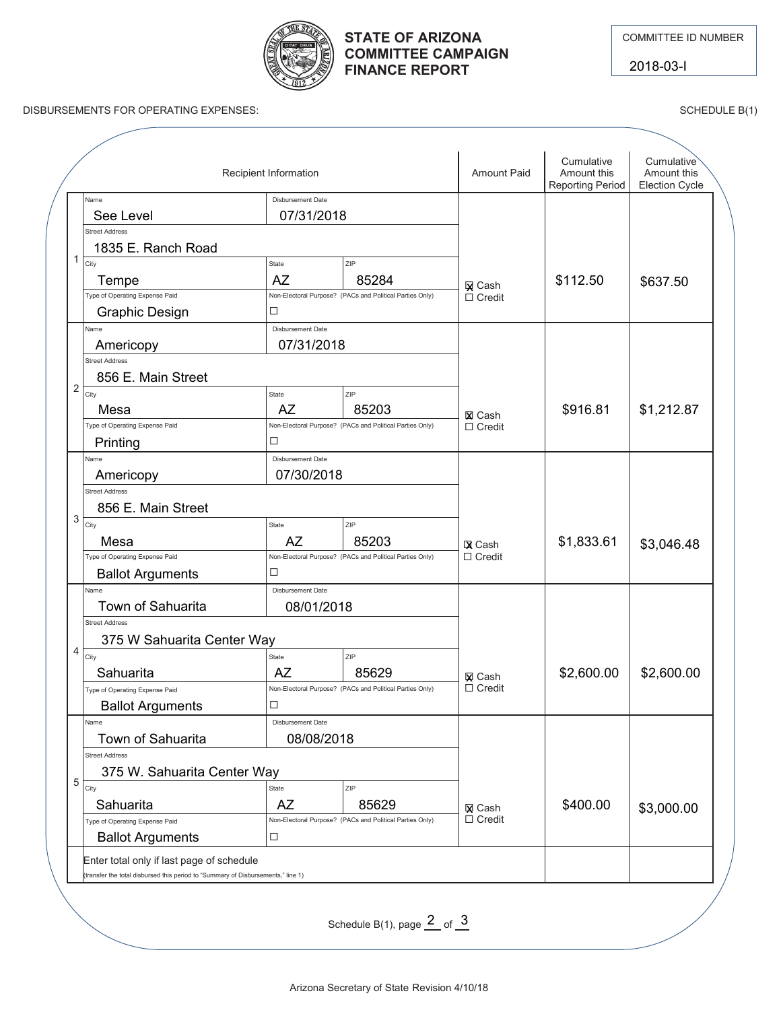

2018-03-I



# **COMMITTEE CAMPAIGN FINANCE REPORT**

DISBURSEMENTS FOR OPERATING EXPENSES: SCHEDULE B(1)

|   |                                | Recipient Information      |                                                          | <b>Amount Paid</b>             | Cumulative<br>Amount this<br><b>Reporting Period</b> | Cumulative<br>Amount this<br><b>Election Cycle</b> |
|---|--------------------------------|----------------------------|----------------------------------------------------------|--------------------------------|------------------------------------------------------|----------------------------------------------------|
|   | Name<br>See Level              |                            |                                                          |                                |                                                      |                                                    |
|   | <b>Street Address</b>          | 07/31/2018                 |                                                          |                                |                                                      |                                                    |
|   | 1835 E. Ranch Road             |                            |                                                          |                                |                                                      |                                                    |
| 1 | City                           | State                      | ZIP                                                      |                                | \$112.50                                             | \$637.50                                           |
|   | Tempe                          | <b>AZ</b>                  | 85284                                                    | <b>X</b> Cash                  |                                                      |                                                    |
|   | Type of Operating Expense Paid | □                          | Non-Electoral Purpose? (PACs and Political Parties Only) | $\Box$ Credit                  |                                                      |                                                    |
|   | <b>Graphic Design</b><br>Name  | <b>Disbursement Date</b>   |                                                          |                                |                                                      |                                                    |
|   | Americopy                      | 07/31/2018                 |                                                          |                                |                                                      |                                                    |
|   | <b>Street Address</b>          |                            |                                                          |                                |                                                      |                                                    |
|   | 856 E. Main Street             |                            |                                                          |                                |                                                      |                                                    |
| 2 | City                           | State                      | ZIP                                                      |                                |                                                      |                                                    |
|   | Mesa                           | <b>AZ</b>                  | 85203                                                    | <b>⊠</b> Cash                  | \$916.81                                             | \$1,212.87                                         |
|   | Type of Operating Expense Paid |                            | Non-Electoral Purpose? (PACs and Political Parties Only) | $\Box$ Credit                  |                                                      |                                                    |
|   | Printing                       | □                          |                                                          |                                |                                                      |                                                    |
|   | Name                           | Disbursement Date          |                                                          |                                |                                                      |                                                    |
|   | Americopy                      | 07/30/2018                 |                                                          |                                |                                                      |                                                    |
|   | <b>Street Address</b>          |                            |                                                          |                                |                                                      |                                                    |
|   | 856 E. Main Street             |                            |                                                          |                                |                                                      |                                                    |
| 3 | City                           | State                      | ZIP                                                      |                                |                                                      |                                                    |
|   | Mesa                           | AZ                         | 85203                                                    | <b>X</b> Cash                  | \$1,833.61                                           | \$3,046.48                                         |
|   | Type of Operating Expense Paid |                            | Non-Electoral Purpose? (PACs and Political Parties Only) | $\Box$ Credit                  |                                                      |                                                    |
|   | <b>Ballot Arguments</b>        | □                          |                                                          |                                |                                                      |                                                    |
|   | Name                           | Disbursement Date          |                                                          |                                |                                                      |                                                    |
|   | Town of Sahuarita              | 08/01/2018                 |                                                          |                                |                                                      |                                                    |
|   | <b>Street Address</b>          |                            |                                                          |                                |                                                      |                                                    |
| 4 |                                | 375 W Sahuarita Center Way |                                                          |                                |                                                      |                                                    |
|   | City<br>Sahuarita              | State<br><b>AZ</b>         | ZIP<br>85629                                             |                                | \$2,600.00                                           | \$2,600.00                                         |
|   | Type of Operating Expense Paid |                            | Non-Electoral Purpose? (PACs and Political Parties Only) | <b>Q</b> Cash<br>$\Box$ Credit |                                                      |                                                    |
|   | <b>Ballot Arguments</b>        | $\Box$                     |                                                          |                                |                                                      |                                                    |
|   | Name                           | <b>Disbursement Date</b>   |                                                          |                                |                                                      |                                                    |
|   | <b>Town of Sahuarita</b>       | 08/08/2018                 |                                                          |                                |                                                      |                                                    |
|   | <b>Street Address</b>          |                            |                                                          |                                |                                                      |                                                    |
|   | 375 W. Sahuarita Center Way    |                            |                                                          |                                |                                                      |                                                    |
| 5 | City                           | State                      | ZIP                                                      |                                |                                                      |                                                    |
|   | Sahuarita                      | <b>AZ</b>                  | 85629                                                    | <b>⊠</b> Cash                  | \$400.00                                             | \$3,000.00                                         |
|   | Type of Operating Expense Paid |                            | Non-Electoral Purpose? (PACs and Political Parties Only) | $\Box$ Credit                  |                                                      |                                                    |
|   | <b>Ballot Arguments</b>        | □                          |                                                          |                                |                                                      |                                                    |

Schedule B(1), page  $\frac{2}{5}$  of  $\frac{3}{5}$